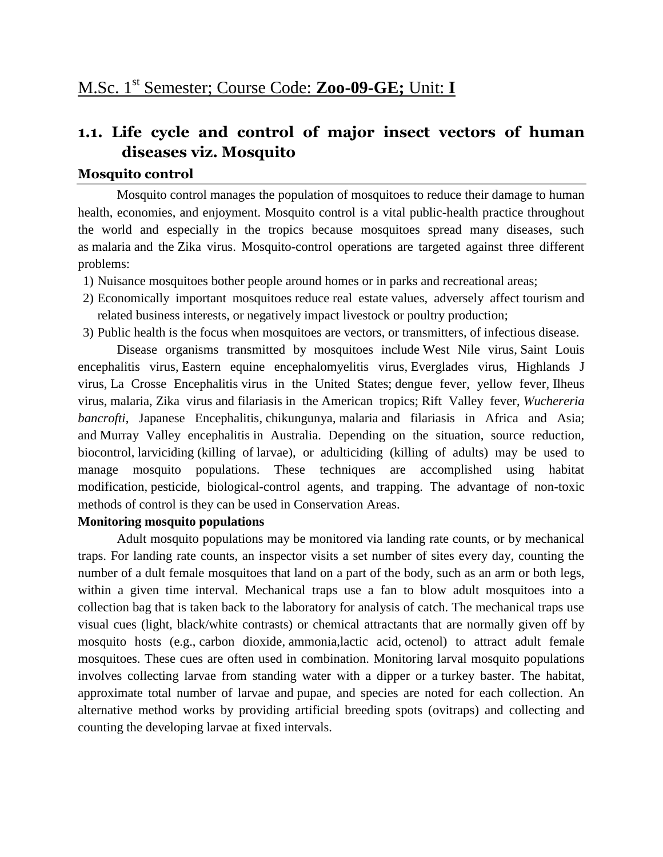# **1.1. Life cycle and control of major insect vectors of human diseases viz. Mosquito**

#### **Mosquito control**

Mosquito control manages the population of [mosquitoes](https://en.wikipedia.org/wiki/Mosquito) to reduce their damage to human health, economies, and enjoyment. Mosquito control is a vital public-health practice throughout the world and especially in the tropics because mosquitoes spread many diseases, such as [malaria](https://en.wikipedia.org/wiki/Malaria) and the [Zika virus.](https://en.wikipedia.org/wiki/Zika_virus) Mosquito-control operations are targeted against three different problems:

- 1) Nuisance mosquitoes bother people around homes or in parks and recreational areas;
- 2) Economically important mosquitoes reduce [real estate](https://en.wikipedia.org/wiki/Real_estate) values, adversely affect [tourism](https://en.wikipedia.org/wiki/Tourism) and related business interests, or negatively impact [livestock](https://en.wikipedia.org/wiki/Livestock) or [poultry](https://en.wikipedia.org/wiki/Poultry) production;
- 3) Public health is the focus when mosquitoes are [vectors,](https://en.wikipedia.org/wiki/Vector_(epidemiology)) or transmitters, of infectious [disease.](https://en.wikipedia.org/wiki/Disease)

Disease organisms transmitted by mosquitoes include [West Nile virus,](https://en.wikipedia.org/wiki/West_Nile_virus) [Saint Louis](https://en.wikipedia.org/wiki/St._Louis_Encephalitis)  [encephalitis virus,](https://en.wikipedia.org/wiki/St._Louis_Encephalitis) [Eastern equine encephalomyelitis virus,](https://en.wikipedia.org/wiki/Eastern_equine_encephalomyelitis_virus) [Everglades](https://en.wikipedia.org/wiki/Everglades_virus) virus, [Highlands J](https://en.wikipedia.org/wiki/Highlands_J_virus)  [virus,](https://en.wikipedia.org/wiki/Highlands_J_virus) [La Crosse Encephalitis](https://en.wikipedia.org/wiki/La_Crosse_Encephalitis) virus in the United States; [dengue fever,](https://en.wikipedia.org/wiki/Dengue_fever) [yellow fever,](https://en.wikipedia.org/wiki/Yellow_fever) [Ilheus](https://en.wikipedia.org/w/index.php?title=Ilheus_virus&action=edit&redlink=1)  [virus,](https://en.wikipedia.org/w/index.php?title=Ilheus_virus&action=edit&redlink=1) [malaria,](https://en.wikipedia.org/wiki/Malaria) [Zika virus](https://en.wikipedia.org/wiki/Zika_virus) and [filariasis](https://en.wikipedia.org/wiki/Filariasis) in the [American tropics;](https://en.wikipedia.org/wiki/Neotropics) [Rift Valley fever,](https://en.wikipedia.org/wiki/Rift_Valley_fever) *[Wuchereria](https://en.wikipedia.org/wiki/Wuchereria_bancrofti)  [bancrofti](https://en.wikipedia.org/wiki/Wuchereria_bancrofti)*, [Japanese Encephalitis,](https://en.wikipedia.org/wiki/Japanese_Encephalitis) [chikungunya,](https://en.wikipedia.org/wiki/Chikungunya) [malaria](https://en.wikipedia.org/wiki/Malaria) and filariasis in Africa and Asia; and [Murray Valley encephalitis](https://en.wikipedia.org/wiki/Murray_Valley_encephalitis) in Australia. Depending on the situation, source reduction, biocontrol, [larviciding](https://en.wikipedia.org/wiki/Larvicide) (killing of [larvae\)](https://en.wikipedia.org/wiki/Larva), or adulticiding (killing of adults) may be used to manage mosquito populations. These techniques are accomplished using habitat modification, [pesticide,](https://en.wikipedia.org/wiki/Pesticide) biological-control agents, and trapping. The advantage of non-toxic methods of control is they can be used in [Conservation Areas.](https://en.wikipedia.org/wiki/Conservation_Area)

## **Monitoring mosquito populations**

Adult mosquito populations may be monitored via landing rate counts, or by mechanical traps. For landing rate counts, an inspector visits a set number of sites every day, counting the number of a dult female mosquitoes that land on a part of the body, such as an arm or both legs, within a given time interval. Mechanical traps use a fan to blow adult mosquitoes into a collection bag that is taken back to the laboratory for analysis of catch. The mechanical traps use visual cues (light, black/white contrasts) or chemical attractants that are normally given off by mosquito hosts (e.g., [carbon dioxide,](https://en.wikipedia.org/wiki/Carbon_dioxide) [ammonia](https://en.wikipedia.org/wiki/Ammonia)[,lactic acid,](https://en.wikipedia.org/wiki/Lactic_acid) [octenol\)](https://en.wikipedia.org/wiki/Octenol) to attract adult female mosquitoes. These cues are often used in combination. Monitoring larval mosquito populations involves collecting larvae from standing water with a dipper or a [turkey baster.](https://en.wikipedia.org/wiki/Turkey_baster) The habitat, approximate total number of larvae and [pupae,](https://en.wikipedia.org/wiki/Pupae) and species are noted for each collection. An alternative method works by providing artificial breeding spots [\(ovitraps\)](https://en.wikipedia.org/wiki/Ovitrap) and collecting and counting the developing larvae at fixed intervals.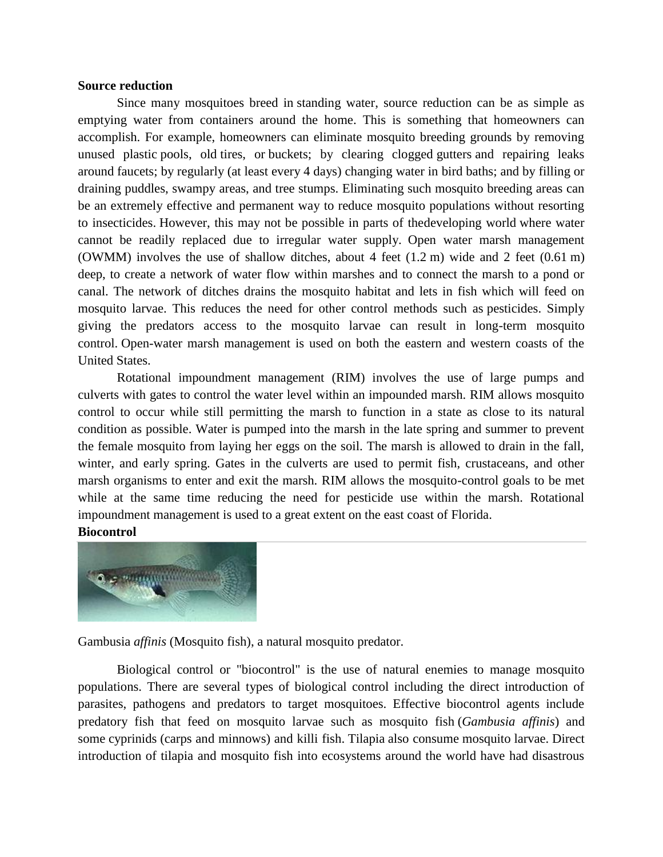#### **Source reduction**

Since many mosquitoes breed in [standing water,](https://en.wikipedia.org/wiki/Standing_water) source reduction can be as simple as emptying water from containers around the home. This is something that homeowners can accomplish. For example, homeowners can eliminate mosquito breeding grounds by removing unused plastic [pools,](https://en.wikipedia.org/wiki/Swimming_pool) old [tires,](https://en.wikipedia.org/wiki/Tire) or [buckets;](https://en.wikipedia.org/wiki/Bucket) by clearing clogged [gutters](https://en.wikipedia.org/wiki/Rain_gutter) and repairing leaks around [faucets;](https://en.wikipedia.org/wiki/Faucet) by regularly (at least every 4 days) changing water in [bird baths;](https://en.wikipedia.org/wiki/Bird_bath) and by filling or draining puddles, swampy areas, and tree stumps. Eliminating such mosquito breeding areas can be an extremely effective and permanent way to reduce mosquito populations without resorting to insecticides. However, this may not be possible in parts of th[edeveloping world](https://en.wikipedia.org/wiki/Developing_world) where water cannot be readily replaced due to irregular water supply. Open water marsh management (OWMM) involves the use of shallow ditches, about 4 feet (1.2 m) wide and 2 feet (0.61 m) deep, to create a network of water flow within marshes and to connect the marsh to a pond or canal. The network of ditches drains the mosquito habitat and lets in fish which will feed on mosquito larvae. This reduces the need for other control methods such as [pesticides.](https://en.wikipedia.org/wiki/Pesticide) Simply giving the predators access to the mosquito larvae can result in long-term mosquito control. Open-water marsh management is used on both the eastern and western coasts of the United States.

Rotational impoundment management (RIM) involves the use of large pumps and culverts with gates to control the water level within an impounded marsh. RIM allows mosquito control to occur while still permitting the marsh to function in a state as close to its natural condition as possible. Water is pumped into the marsh in the late spring and summer to prevent the female mosquito from laying her eggs on the soil. The marsh is allowed to drain in the fall, winter, and early spring. Gates in the culverts are used to permit fish, crustaceans, and other marsh organisms to enter and exit the marsh. RIM allows the mosquito-control goals to be met while at the same time reducing the need for pesticide use within the marsh. Rotational impoundment management is used to a great extent on the east coast of Florida.

#### **Biocontrol**



Gambusia *[affinis](https://en.wikipedia.org/wiki/Gambusia_affinis)* (Mosquito fish), a natural mosquito predator.

Biological control or "biocontrol" is the use of natural enemies to manage mosquito populations. There are several types of biological control including the direct introduction of parasites, pathogens and predators to target mosquitoes. Effective biocontrol agents include predatory fish that feed on mosquito larvae such as [mosquito](https://en.wikipedia.org/wiki/Mosquitofish) fish (*Gambusia affinis*) and some [cyprinids](https://en.wikipedia.org/wiki/Cyprinid) (carps and minnows) and killi [fish.](https://en.wikipedia.org/wiki/Killifish) [Tilapia](https://en.wikipedia.org/wiki/Tilapia) also consume [mosquito](https://en.wikipedia.org/wiki/Mosquito) larvae. Direct introduction of tilapia and mosquito fish into ecosystems around the world have had disastrous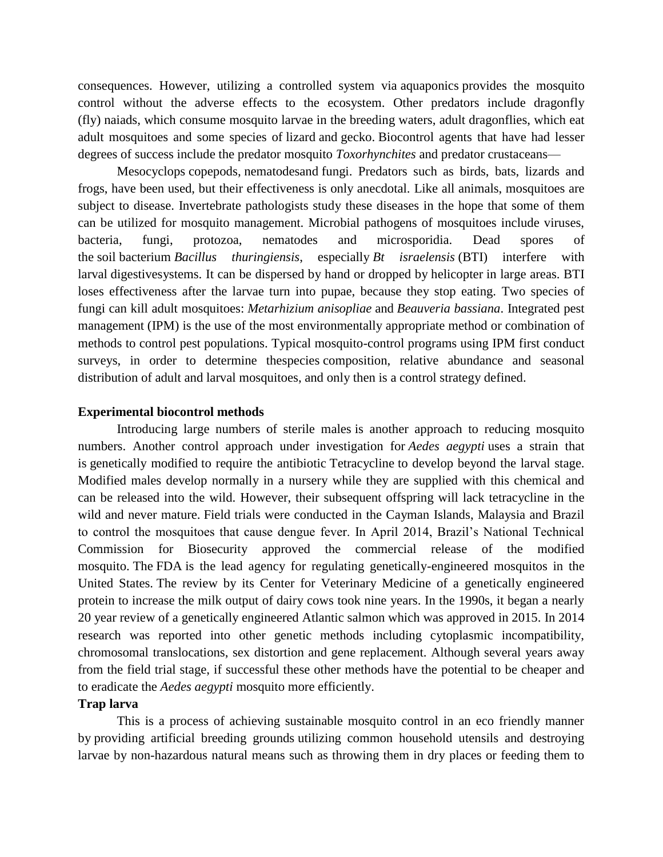consequences. However, utilizing a controlled system via [aquaponics](https://en.wikipedia.org/wiki/Aquaponics) provides the mosquito control without the adverse effects to the ecosystem. Other predators include dragonfly (fly) [naiads,](https://en.wikipedia.org/wiki/Nymph_(biology)) which consume mosquito larvae in the breeding waters, adult [dragonflies,](https://en.wikipedia.org/wiki/Dragonfly) which eat adult mosquitoes and some species of [lizard](https://en.wikipedia.org/wiki/Lizard) and [gecko.](https://en.wikipedia.org/wiki/Gecko) Biocontrol agents that have had lesser degrees of success include the predator mosquito *[Toxorhynchites](https://en.wikipedia.org/wiki/Toxorhynchites)* and predator [crustaceans—](https://en.wikipedia.org/wiki/Crustaceans)

[Mesocyclops](https://en.wikipedia.org/wiki/Mesocyclops) [copepods,](https://en.wikipedia.org/wiki/Copepods) [nematodesa](https://en.wikipedia.org/wiki/Nematodes)nd [fungi.](https://en.wikipedia.org/wiki/Fungi) Predators such as birds, bats, lizards and frogs, have been used, but their effectiveness is only anecdotal. Like all animals, mosquitoes are subject to disease. Invertebrate pathologists study these diseases in the hope that some of them can be utilized for mosquito management. Microbial pathogens of mosquitoes include viruses, bacteria, fungi, protozoa, nematodes and microsporidia. Dead spores of the [soil](https://en.wikipedia.org/wiki/Soil) [bacterium](https://en.wikipedia.org/wiki/Bacteria) *[Bacillus thuringiensis](https://en.wikipedia.org/wiki/Bacillus_thuringiensis)*, especially *[Bt israelensis](https://en.wikipedia.org/wiki/Bacillus_thuringiensis_israelensis)* (BTI) interfere with larval [digestives](https://en.wikipedia.org/wiki/Digestion)ystems. It can be dispersed by hand or dropped by [helicopter](https://en.wikipedia.org/wiki/Helicopter) in large areas. BTI loses effectiveness after the larvae turn into pupae, because they stop eating. Two species of fungi can kill adult mosquitoes: *[Metarhizium anisopliae](https://en.wikipedia.org/wiki/Metarhizium_anisopliae)* and *[Beauveria bassiana](https://en.wikipedia.org/wiki/Beauveria_bassiana)*. [Integrated pest](https://en.wikipedia.org/wiki/Integrated_pest_management)  [management](https://en.wikipedia.org/wiki/Integrated_pest_management) (IPM) is the use of the most environmentally appropriate method or combination of methods to control pest populations. Typical mosquito-control programs using IPM first conduct surveys, in order to determine th[especies](https://en.wikipedia.org/wiki/Species) composition, relative abundance and seasonal distribution of adult and larval mosquitoes, and only then is a control strategy defined.

#### **Experimental biocontrol methods**

[Introducing large numbers of sterile males](https://en.wikipedia.org/wiki/Sterile_insect_technique) is another approach to reducing mosquito numbers. Another control approach under investigation for *[Aedes aegypti](https://en.wikipedia.org/wiki/Aedes_aegypti)* uses a strain that is [genetically modified](https://en.wikipedia.org/wiki/Genetically_modified) to require the antibiotic [Tetracycline](https://en.wikipedia.org/wiki/Tetracycline) to develop beyond the larval stage. Modified males develop normally in a nursery while they are supplied with this chemical and can be released into the wild. However, their subsequent offspring will lack tetracycline in the wild and never mature. Field trials were conducted in the Cayman Islands, Malaysia and Brazil to control the mosquitoes that cause dengue fever. In April 2014, Brazil's National Technical Commission for Biosecurity approved the commercial release of the modified mosquito. The [FDA](https://en.wikipedia.org/wiki/Food_and_Drug_Administration) is the lead agency for regulating genetically-engineered mosquitos in the United States. The review by its Center for Veterinary Medicine of a genetically engineered protein to increase the milk output of dairy cows took nine years. In the 1990s, it began a nearly 20 year review of a genetically engineered Atlantic salmon which was approved in 2015. In 2014 research was reported into other genetic methods including cytoplasmic incompatibility, chromosomal translocations, sex distortion and gene replacement. Although several years away from the field trial stage, if successful these other methods have the potential to be cheaper and to eradicate the *Aedes aegypti* mosquito more efficiently.

#### **Trap larva**

This is a process of achieving sustainable mosquito control in an eco friendly manner by [providing artificial breeding grounds](https://en.wikipedia.org/wiki/Ovitrap) utilizing common household utensils and destroying larvae by non-hazardous natural means such as throwing them in dry places or feeding them to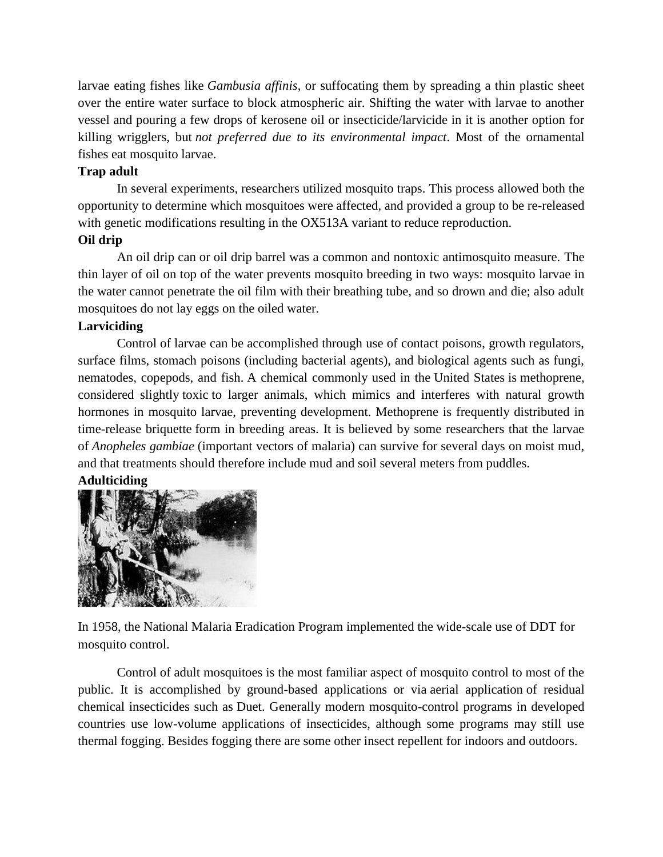larvae eating fishes like *Gambusia affinis*, or suffocating them by spreading a thin plastic sheet over the entire water surface to block atmospheric air. Shifting the water with larvae to another vessel and pouring a few drops of kerosene oil or insecticide/larvicide in it is another option for killing wrigglers, but *not preferred due to its environmental impact*. Most of the ornamental fishes eat mosquito larvae.

### **Trap adult**

In several experiments, researchers utilized mosquito traps. This process allowed both the opportunity to determine which mosquitoes were affected, and provided a group to be re-released with genetic modifications resulting in the OX513A variant to reduce reproduction.

### **Oil drip**

An oil drip can or oil drip barrel was a common and nontoxic antimosquito measure. The thin layer of oil on top of the water prevents mosquito breeding in two ways: mosquito larvae in the water cannot penetrate the oil film with their breathing tube, and so drown and die; also adult mosquitoes do not lay eggs on the oiled water.

#### **Larviciding**

Control of larvae can be accomplished through use of contact poisons, growth regulators, surface films, stomach poisons (including bacterial agents), and biological agents such as fungi, nematodes, copepods, and fish. A chemical commonly used in the [United States](https://en.wikipedia.org/wiki/United_States) is [methoprene,](https://en.wikipedia.org/wiki/Methoprene) considered slightly [toxic](https://en.wikipedia.org/wiki/Toxic) to larger animals, which mimics and interferes with natural growth hormones in mosquito larvae, preventing development. Methoprene is frequently distributed in time-release [briquette](https://en.wikipedia.org/wiki/Briquette) form in breeding areas. It is believed by some researchers that the larvae of *[Anopheles gambiae](https://en.wikipedia.org/wiki/Anopheles_gambiae)* (important vectors of malaria) can survive for several days on moist mud, and that treatments should therefore include mud and soil several meters from puddles.

#### **Adulticiding**



In 1958, the [National Malaria Eradication Program](https://en.wikipedia.org/wiki/National_Malaria_Eradication_Program) implemented the wide-scale use of DDT for mosquito control.

Control of adult mosquitoes is the most familiar aspect of mosquito control to most of the public. It is accomplished by ground-based applications or via [aerial application](https://en.wikipedia.org/wiki/Aerial_application) of residual chemical insecticides such as [Duet.](https://en.wikipedia.org/wiki/Phenothrin) Generally modern mosquito-control programs in developed countries use low-volume applications of insecticides, although some programs may still use thermal fogging. Besides fogging there are some other [insect repellent](https://en.wikipedia.org/wiki/Insect_repellent) for indoors and outdoors.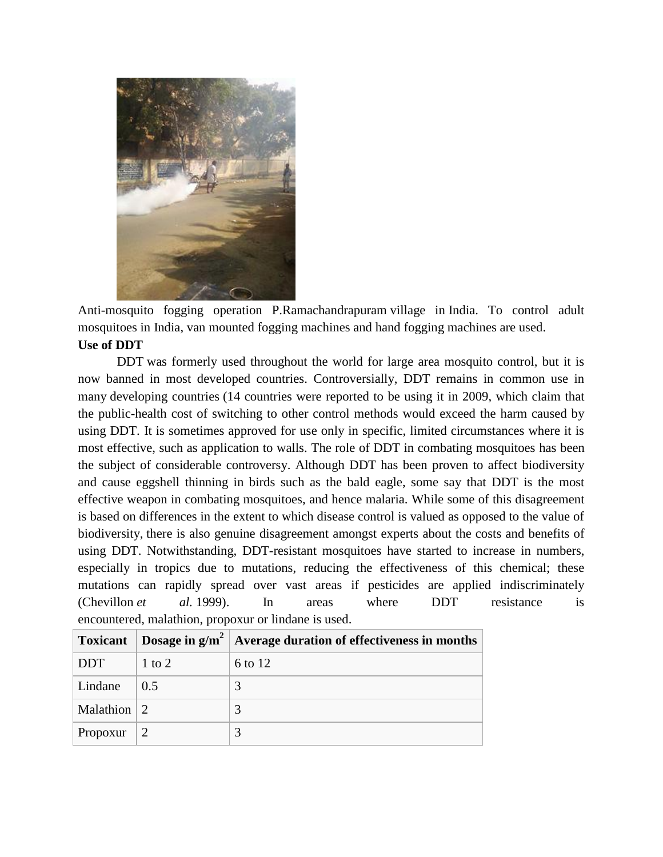

Anti-mosquito fogging operation [P.Ramachandrapuram](https://en.wikipedia.org/wiki/P.Ramachandrapuram) village in [India.](https://en.wikipedia.org/wiki/India) To control adult mosquitoes in India, van mounted fogging machines and hand fogging machines are used. **Use of DDT**

[DDT](https://en.wikipedia.org/wiki/DDT) was formerly used throughout the world for large area mosquito control, but it is now banned in most developed countries. Controversially, DDT remains in common use in many [developing countries](https://en.wikipedia.org/wiki/Developing_country) (14 countries were reported to be using it in 2009, which claim that the public-health cost of switching to other control methods would exceed the harm caused by using DDT. It is sometimes approved for use only in specific, limited circumstances where it is most effective, such as application to walls. The role of DDT in combating mosquitoes has been the subject of considerable controversy. Although DDT has been proven to affect biodiversity and cause eggshell thinning in birds such as the bald eagle, some say that DDT is the most effective weapon in combating mosquitoes, and hence malaria. While some of this disagreement is based on differences in the extent to which disease control is valued as opposed to the value of biodiversity, there is also genuine disagreement amongst experts about the costs and benefits of using DDT. Notwithstanding, DDT-resistant mosquitoes have started to increase in numbers, especially in tropics due to mutations, reducing the effectiveness of this chemical; these mutations can rapidly spread over vast areas if pesticides are applied indiscriminately (Chevillon *et al.* 1999). In areas where DDT resistance is encountered, [malathion,](https://en.wikipedia.org/wiki/Malathion) [propoxur](https://en.wikipedia.org/wiki/Propoxur) or [lindane](https://en.wikipedia.org/wiki/Lindane) is used.

| <b>Toxicant</b>           |            | Dosage in $g/m^2$ Average duration of effectiveness in months |
|---------------------------|------------|---------------------------------------------------------------|
| DDT                       | $1$ to $2$ | 6 to 12                                                       |
| Lindane                   | 0.5        |                                                               |
| Malathion $\vert 2 \vert$ |            |                                                               |
| Propoxur                  |            |                                                               |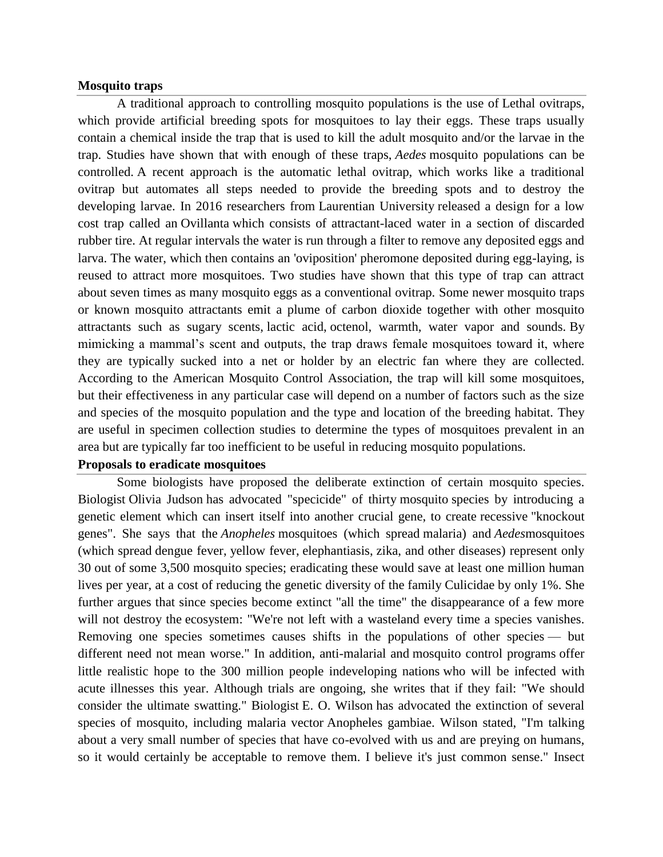#### **Mosquito traps**

A traditional approach to controlling mosquito populations is the use of [Lethal ovitraps,](https://en.wikipedia.org/wiki/Lethal_ovitrap) which provide artificial breeding spots for mosquitoes to lay their eggs. These traps usually contain a chemical inside the trap that is used to kill the adult mosquito and/or the larvae in the trap. Studies have shown that with enough of these traps, *Aedes* mosquito populations can be controlled. A recent approach is the automatic lethal ovitrap, which works like a traditional ovitrap but automates all steps needed to provide the breeding spots and to destroy the developing larvae. In 2016 researchers from [Laurentian University](https://en.wikipedia.org/wiki/Laurentian_University) released a design for a low cost trap called an [Ovillanta](https://en.wikipedia.org/wiki/Ovillanta) which consists of attractant-laced water in a section of discarded rubber tire. At regular intervals the water is run through a filter to remove any deposited eggs and larva. The water, which then contains an 'oviposition' pheromone deposited during egg-laying, is reused to attract more mosquitoes. Two studies have shown that this type of trap can attract about seven times as many mosquito eggs as a conventional ovitrap. Some newer mosquito traps or known mosquito attractants emit a plume of carbon dioxide together with other mosquito attractants such as sugary scents, [lactic acid,](https://en.wikipedia.org/wiki/Lactic_acid) [octenol,](https://en.wikipedia.org/wiki/Octenol) warmth, water vapor and sounds. By mimicking a mammal's scent and outputs, the trap draws female mosquitoes toward it, where they are typically sucked into a net or holder by an electric fan where they are collected. According to the American Mosquito Control Association, the trap will kill some mosquitoes, but their effectiveness in any particular case will depend on a number of factors such as the size and species of the mosquito population and the type and location of the breeding habitat. They are useful in specimen collection studies to determine the types of mosquitoes prevalent in an area but are typically far too inefficient to be useful in reducing mosquito populations.

## **Proposals to eradicate mosquitoes**

Some biologists have proposed the deliberate extinction of certain mosquito species. Biologist [Olivia Judson](https://en.wikipedia.org/wiki/Olivia_Judson) has advocated ["specicide"](https://en.wikipedia.org/wiki/Extinction) of thirty [mosquito](https://en.wikipedia.org/wiki/Mosquito) species by introducing a genetic element which can insert itself into another crucial gene, to create [recessive](https://en.wikipedia.org/wiki/Recessive) ["knockout](https://en.wikipedia.org/wiki/Gene_knockout)  [genes"](https://en.wikipedia.org/wiki/Gene_knockout). She says that the *[Anopheles](https://en.wikipedia.org/wiki/Anopheles)* mosquitoes (which spread [malaria\)](https://en.wikipedia.org/wiki/Malaria) and *[Aedes](https://en.wikipedia.org/wiki/Aedes)*mosquitoes (which spread [dengue fever,](https://en.wikipedia.org/wiki/Dengue_fever) [yellow fever,](https://en.wikipedia.org/wiki/Yellow_fever) [elephantiasis,](https://en.wikipedia.org/wiki/Elephantiasis_tropica) [zika,](https://en.wikipedia.org/wiki/Zika_fever) and other diseases) represent only 30 out of some 3,500 mosquito species; eradicating these would save at least one million human lives per year, at a cost of reducing the [genetic diversity](https://en.wikipedia.org/wiki/Genetic_diversity) of the [family](https://en.wikipedia.org/wiki/Family_(biology)) [Culicidae](https://en.wikipedia.org/wiki/Culicidae) by only 1%. She further argues that since species become extinct "all the time" the disappearance of a few more will not destroy the [ecosystem:](https://en.wikipedia.org/wiki/Ecosystem) "We're not left with a wasteland every time a species vanishes. Removing one species sometimes causes shifts in the populations of other species — but different need not mean worse." In addition, anti-malarial and [mosquito control programs](https://en.wikipedia.org/wiki/Mosquito#Control) offer little realistic hope to the 300 million people i[ndeveloping nations](https://en.wikipedia.org/wiki/Developing_nation) who will be infected with acute illnesses this year. Although trials are ongoing, she writes that if they fail: "We should consider the ultimate swatting." Biologist [E. O. Wilson](https://en.wikipedia.org/wiki/E._O._Wilson) has advocated the extinction of several species of mosquito, including malaria vector [Anopheles gambiae.](https://en.wikipedia.org/wiki/Anopheles_gambiae) Wilson stated, "I'm talking about a very small number of species that have co-evolved with us and are preying on humans, so it would certainly be acceptable to remove them. I believe it's just common sense." Insect